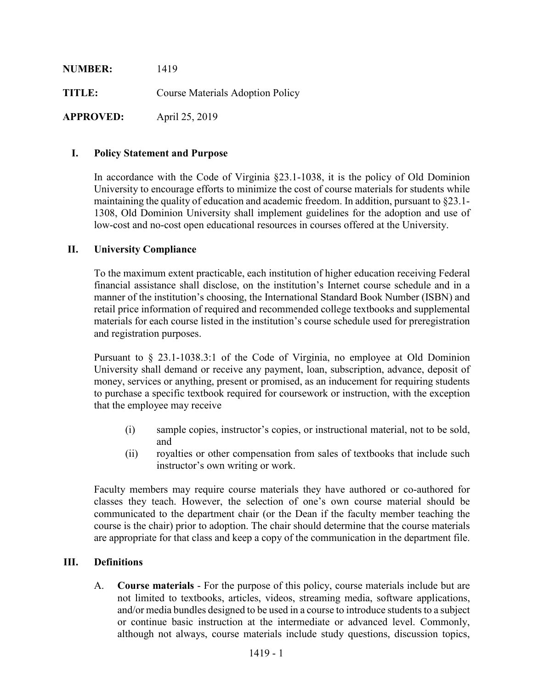| <b>NUMBER:</b>   | 1419                                    |
|------------------|-----------------------------------------|
| TITLE:           | <b>Course Materials Adoption Policy</b> |
| <b>APPROVED:</b> | April 25, 2019                          |

## **I. Policy Statement and Purpose**

In accordance with the Code of Virginia §23.1-1038, it is the policy of Old Dominion University to encourage efforts to minimize the cost of course materials for students while maintaining the quality of education and academic freedom. In addition, pursuant to §23.1- 1308, Old Dominion University shall implement guidelines for the adoption and use of low-cost and no-cost open educational resources in courses offered at the University.

## **II. University Compliance**

To the maximum extent practicable, each institution of higher education receiving Federal financial assistance shall disclose, on the institution's Internet course schedule and in a manner of the institution's choosing, the International Standard Book Number (ISBN) and retail price information of required and recommended college textbooks and supplemental materials for each course listed in the institution's course schedule used for preregistration and registration purposes.

Pursuant to § 23.1-1038.3:1 of the Code of Virginia, no employee at Old Dominion University shall demand or receive any payment, loan, subscription, advance, deposit of money, services or anything, present or promised, as an inducement for requiring students to purchase a specific textbook required for coursework or instruction, with the exception that the employee may receive

- (i) sample copies, instructor's copies, or instructional material, not to be sold, and
- (ii) royalties or other compensation from sales of textbooks that include such instructor's own writing or work.

Faculty members may require course materials they have authored or co-authored for classes they teach. However, the selection of one's own course material should be communicated to the department chair (or the Dean if the faculty member teaching the course is the chair) prior to adoption. The chair should determine that the course materials are appropriate for that class and keep a copy of the communication in the department file.

### **III. Definitions**

A. **Course materials** - For the purpose of this policy, course materials include but are not limited to textbooks, articles, videos, streaming media, software applications, and/or media bundles designed to be used in a course to introduce students to a subject or continue basic instruction at the intermediate or advanced level. Commonly, although not always, course materials include study questions, discussion topics,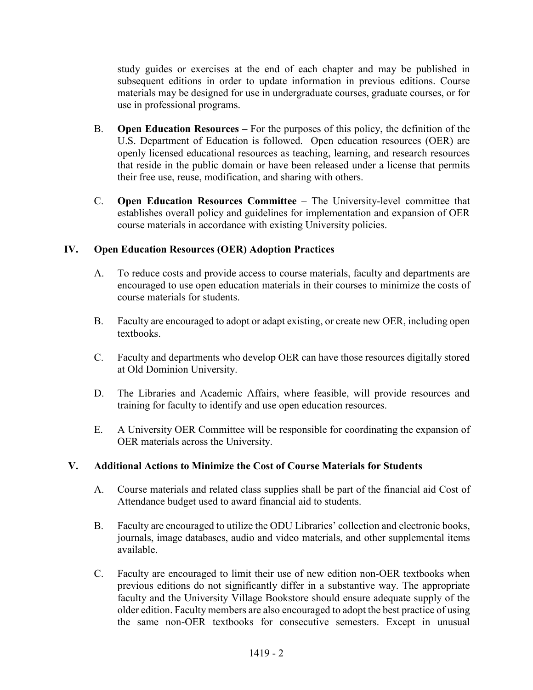study guides or exercises at the end of each chapter and may be published in subsequent editions in order to update information in previous editions. Course materials may be designed for use in undergraduate courses, graduate courses, or for use in professional programs.

- B. **Open Education Resources** For the purposes of this policy, the definition of the U.S. Department of Education is followed. Open education resources (OER) are openly licensed educational resources as teaching, learning, and research resources that reside in the public domain or have been released under a license that permits their free use, reuse, modification, and sharing with others.
- C. **Open Education Resources Committee** The University-level committee that establishes overall policy and guidelines for implementation and expansion of OER course materials in accordance with existing University policies.

# **IV. Open Education Resources (OER) Adoption Practices**

- A. To reduce costs and provide access to course materials, faculty and departments are encouraged to use open education materials in their courses to minimize the costs of course materials for students.
- B. Faculty are encouraged to adopt or adapt existing, or create new OER, including open textbooks.
- C. Faculty and departments who develop OER can have those resources digitally stored at Old Dominion University.
- D. The Libraries and Academic Affairs, where feasible, will provide resources and training for faculty to identify and use open education resources.
- E. A University OER Committee will be responsible for coordinating the expansion of OER materials across the University.

# **V. Additional Actions to Minimize the Cost of Course Materials for Students**

- A. Course materials and related class supplies shall be part of the financial aid Cost of Attendance budget used to award financial aid to students.
- B. Faculty are encouraged to utilize the ODU Libraries' collection and electronic books, journals, image databases, audio and video materials, and other supplemental items available.
- C. Faculty are encouraged to limit their use of new edition non-OER textbooks when previous editions do not significantly differ in a substantive way. The appropriate faculty and the University Village Bookstore should ensure adequate supply of the older edition. Faculty members are also encouraged to adopt the best practice of using the same non-OER textbooks for consecutive semesters. Except in unusual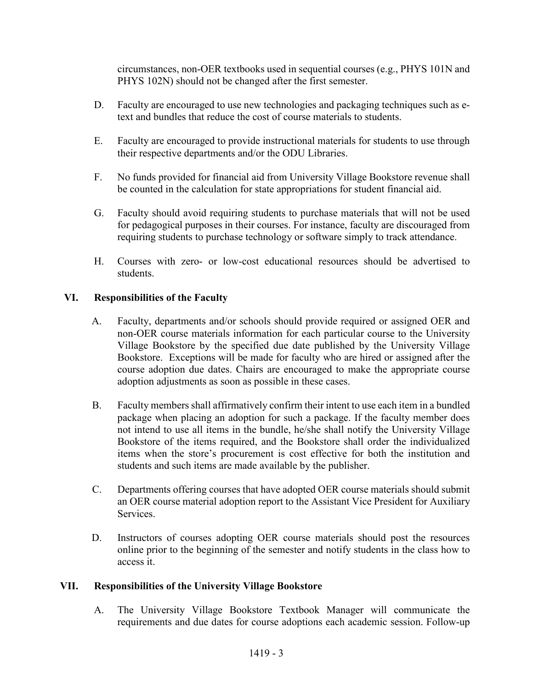circumstances, non-OER textbooks used in sequential courses (e.g., PHYS 101N and PHYS 102N) should not be changed after the first semester.

- D. Faculty are encouraged to use new technologies and packaging techniques such as etext and bundles that reduce the cost of course materials to students.
- E. Faculty are encouraged to provide instructional materials for students to use through their respective departments and/or the ODU Libraries.
- F. No funds provided for financial aid from University Village Bookstore revenue shall be counted in the calculation for state appropriations for student financial aid.
- G. Faculty should avoid requiring students to purchase materials that will not be used for pedagogical purposes in their courses. For instance, faculty are discouraged from requiring students to purchase technology or software simply to track attendance.
- H. Courses with zero- or low-cost educational resources should be advertised to students.

# **VI. Responsibilities of the Faculty**

- A. Faculty, departments and/or schools should provide required or assigned OER and non-OER course materials information for each particular course to the University Village Bookstore by the specified due date published by the University Village Bookstore. Exceptions will be made for faculty who are hired or assigned after the course adoption due dates. Chairs are encouraged to make the appropriate course adoption adjustments as soon as possible in these cases.
- B. Faculty members shall affirmatively confirm their intent to use each item in a bundled package when placing an adoption for such a package. If the faculty member does not intend to use all items in the bundle, he/she shall notify the University Village Bookstore of the items required, and the Bookstore shall order the individualized items when the store's procurement is cost effective for both the institution and students and such items are made available by the publisher.
- C. Departments offering courses that have adopted OER course materials should submit an OER course material adoption report to the Assistant Vice President for Auxiliary **Services**
- D. Instructors of courses adopting OER course materials should post the resources online prior to the beginning of the semester and notify students in the class how to access it.

# **VII. Responsibilities of the University Village Bookstore**

A. The University Village Bookstore Textbook Manager will communicate the requirements and due dates for course adoptions each academic session. Follow-up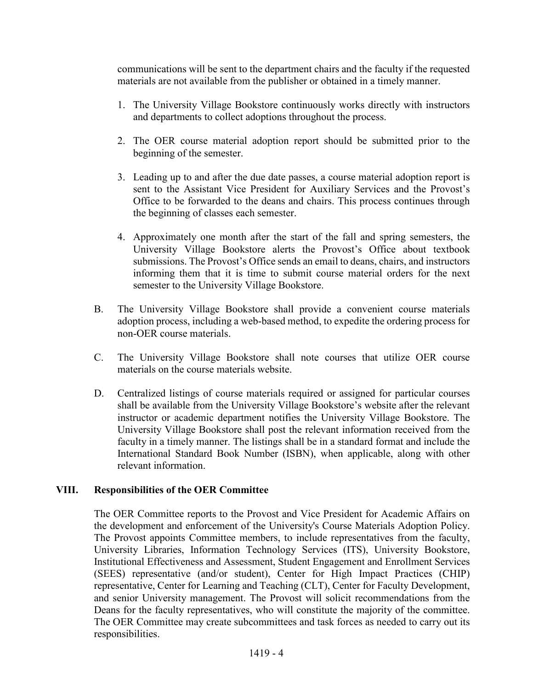communications will be sent to the department chairs and the faculty if the requested materials are not available from the publisher or obtained in a timely manner.

- 1. The University Village Bookstore continuously works directly with instructors and departments to collect adoptions throughout the process.
- 2. The OER course material adoption report should be submitted prior to the beginning of the semester.
- 3. Leading up to and after the due date passes, a course material adoption report is sent to the Assistant Vice President for Auxiliary Services and the Provost's Office to be forwarded to the deans and chairs. This process continues through the beginning of classes each semester.
- 4. Approximately one month after the start of the fall and spring semesters, the University Village Bookstore alerts the Provost's Office about textbook submissions. The Provost's Office sends an email to deans, chairs, and instructors informing them that it is time to submit course material orders for the next semester to the University Village Bookstore.
- B. The University Village Bookstore shall provide a convenient course materials adoption process, including a web-based method, to expedite the ordering process for non-OER course materials.
- C. The University Village Bookstore shall note courses that utilize OER course materials on the course materials website.
- D. Centralized listings of course materials required or assigned for particular courses shall be available from the University Village Bookstore's website after the relevant instructor or academic department notifies the University Village Bookstore. The University Village Bookstore shall post the relevant information received from the faculty in a timely manner. The listings shall be in a standard format and include the International Standard Book Number (ISBN), when applicable, along with other relevant information.

### **VIII. Responsibilities of the OER Committee**

The OER Committee reports to the Provost and Vice President for Academic Affairs on the development and enforcement of the University's Course Materials Adoption Policy. The Provost appoints Committee members, to include representatives from the faculty, University Libraries, Information Technology Services (ITS), University Bookstore, Institutional Effectiveness and Assessment, Student Engagement and Enrollment Services (SEES) representative (and/or student), Center for High Impact Practices (CHIP) representative, Center for Learning and Teaching (CLT), Center for Faculty Development, and senior University management. The Provost will solicit recommendations from the Deans for the faculty representatives, who will constitute the majority of the committee. The OER Committee may create subcommittees and task forces as needed to carry out its responsibilities.